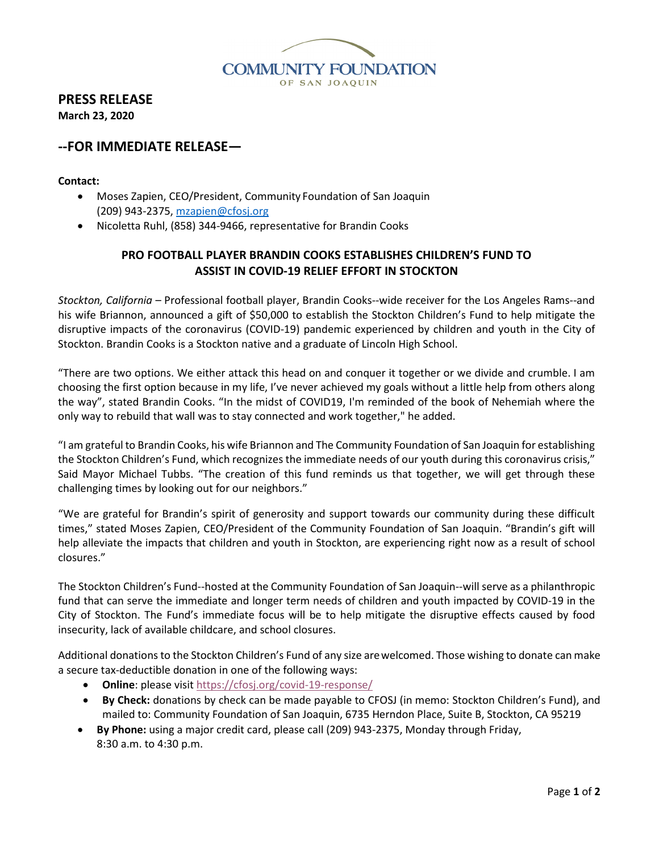

# **PRESS RELEASE**

**March 23, 2020**

## **--FOR IMMEDIATE RELEASE—**

### **Contact:**

- Moses Zapien, CEO/President, Community Foundation of San Joaquin (209) 943-2375[, mzapien@cfosj.org](mailto:mzapien@cfosj.org)
- Nicoletta Ruhl, (858) 344-9466, representative for Brandin Cooks

### **PRO FOOTBALL PLAYER BRANDIN COOKS ESTABLISHES CHILDREN'S FUND TO ASSIST IN COVID-19 RELIEF EFFORT IN STOCKTON**

*Stockton, California* – Professional football player, Brandin Cooks--wide receiver for the Los Angeles Rams--and his wife Briannon, announced a gift of \$50,000 to establish the Stockton Children's Fund to help mitigate the disruptive impacts of the coronavirus (COVID-19) pandemic experienced by children and youth in the City of Stockton. Brandin Cooks is a Stockton native and a graduate of Lincoln High School.

"There are two options. We either attack this head on and conquer it together or we divide and crumble. I am choosing the first option because in my life, I've never achieved my goals without a little help from others along the way", stated Brandin Cooks. "In the midst of COVID19, I'm reminded of the book of Nehemiah where the only way to rebuild that wall was to stay connected and work together," he added.

"I am grateful to Brandin Cooks, his wife Briannon and The Community Foundation of San Joaquin for establishing the Stockton Children's Fund, which recognizes the immediate needs of our youth during this coronavirus crisis," Said Mayor Michael Tubbs. "The creation of this fund reminds us that together, we will get through these challenging times by looking out for our neighbors."

"We are grateful for Brandin's spirit of generosity and support towards our community during these difficult times," stated Moses Zapien, CEO/President of the Community Foundation of San Joaquin. "Brandin's gift will help alleviate the impacts that children and youth in Stockton, are experiencing right now as a result of school closures."

The Stockton Children's Fund--hosted at the Community Foundation of San Joaquin--will serve as a philanthropic fund that can serve the immediate and longer term needs of children and youth impacted by COVID-19 in the City of Stockton. The Fund's immediate focus will be to help mitigate the disruptive effects caused by food insecurity, lack of available childcare, and school closures.

Additional donations to the Stockton Children's Fund of any size arewelcomed. Those wishing to donate can make a secure tax-deductible donation in one of the following ways:

- **Online**: please visi[t https://cfosj.org/covid-19-response/](https://cfosj.org/covid-19-response/)
- **By Check:** donations by check can be made payable to CFOSJ (in memo: Stockton Children's Fund), and mailed to: Community Foundation of San Joaquin, 6735 Herndon Place, Suite B, Stockton, CA 95219
- **By Phone:** using a major credit card, please call (209) 943-2375, Monday through Friday, 8:30 a.m. to 4:30 p.m.